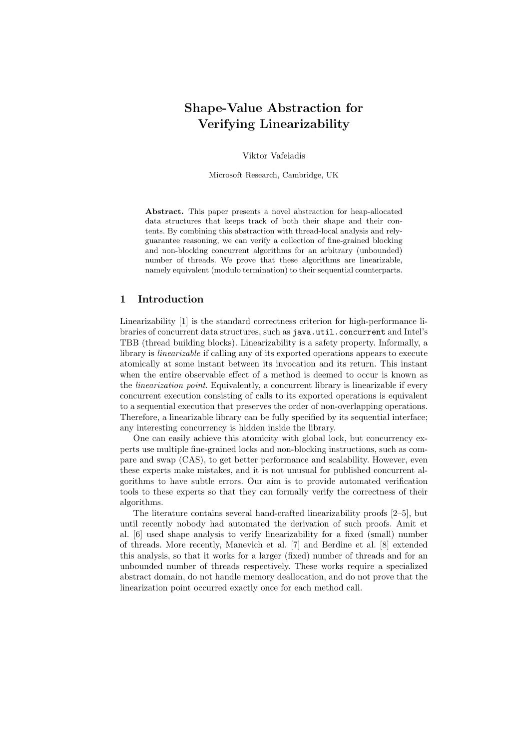# Shape-Value Abstraction for Verifying Linearizability

Viktor Vafeiadis

Microsoft Research, Cambridge, UK

Abstract. This paper presents a novel abstraction for heap-allocated data structures that keeps track of both their shape and their contents. By combining this abstraction with thread-local analysis and relyguarantee reasoning, we can verify a collection of fine-grained blocking and non-blocking concurrent algorithms for an arbitrary (unbounded) number of threads. We prove that these algorithms are linearizable, namely equivalent (modulo termination) to their sequential counterparts.

### 1 Introduction

Linearizability [1] is the standard correctness criterion for high-performance libraries of concurrent data structures, such as java.util.concurrent and Intel's TBB (thread building blocks). Linearizability is a safety property. Informally, a library is *linearizable* if calling any of its exported operations appears to execute atomically at some instant between its invocation and its return. This instant when the entire observable effect of a method is deemed to occur is known as the *linearization point*. Equivalently, a concurrent library is linearizable if every concurrent execution consisting of calls to its exported operations is equivalent to a sequential execution that preserves the order of non-overlapping operations. Therefore, a linearizable library can be fully specified by its sequential interface; any interesting concurrency is hidden inside the library.

One can easily achieve this atomicity with global lock, but concurrency experts use multiple fine-grained locks and non-blocking instructions, such as compare and swap (CAS), to get better performance and scalability. However, even these experts make mistakes, and it is not unusual for published concurrent algorithms to have subtle errors. Our aim is to provide automated verification tools to these experts so that they can formally verify the correctness of their algorithms.

The literature contains several hand-crafted linearizability proofs [2–5], but until recently nobody had automated the derivation of such proofs. Amit et al. [6] used shape analysis to verify linearizability for a fixed (small) number of threads. More recently, Manevich et al. [7] and Berdine et al. [8] extended this analysis, so that it works for a larger (fixed) number of threads and for an unbounded number of threads respectively. These works require a specialized abstract domain, do not handle memory deallocation, and do not prove that the linearization point occurred exactly once for each method call.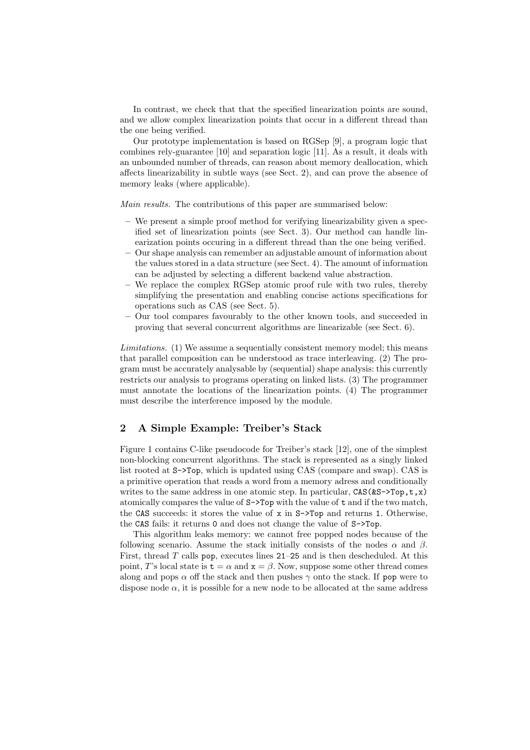In contrast, we check that that the specified linearization points are sound, and we allow complex linearization points that occur in a different thread than the one being verified.

Our prototype implementation is based on RGSep [9], a program logic that combines rely-guarantee [10] and separation logic [11]. As a result, it deals with an unbounded number of threads, can reason about memory deallocation, which affects linearizability in subtle ways (see Sect. 2), and can prove the absence of memory leaks (where applicable).

*Main results.* The contributions of this paper are summarised below:

- We present a simple proof method for verifying linearizability given a specified set of linearization points (see Sect. 3). Our method can handle linearization points occuring in a different thread than the one being verified.
- Our shape analysis can remember an adjustable amount of information about the values stored in a data structure (see Sect. 4). The amount of information can be adjusted by selecting a different backend value abstraction.
- We replace the complex RGSep atomic proof rule with two rules, thereby simplifying the presentation and enabling concise actions specifications for operations such as CAS (see Sect. 5).
- Our tool compares favourably to the other known tools, and succeeded in proving that several concurrent algorithms are linearizable (see Sect. 6).

*Limitations.* (1) We assume a sequentially consistent memory model; this means that parallel composition can be understood as trace interleaving. (2) The program must be accurately analysable by (sequential) shape analysis: this currently restricts our analysis to programs operating on linked lists. (3) The programmer must annotate the locations of the linearization points. (4) The programmer must describe the interference imposed by the module.

### 2 A Simple Example: Treiber's Stack

Figure 1 contains C-like pseudocode for Treiber's stack [12], one of the simplest non-blocking concurrent algorithms. The stack is represented as a singly linked list rooted at S->Top, which is updated using CAS (compare and swap). CAS is a primitive operation that reads a word from a memory adress and conditionally writes to the same address in one atomic step. In particular,  $CAS(*S->Top,t,x)$ atomically compares the value of S->Top with the value of t and if the two match, the CAS succeeds: it stores the value of x in S->Top and returns 1. Otherwise, the CAS fails: it returns 0 and does not change the value of S->Top.

This algorithm leaks memory: we cannot free popped nodes because of the following scenario. Assume the stack initially consists of the nodes  $\alpha$  and  $\beta$ . First, thread  $T$  calls pop, executes lines 21–25 and is then descheduled. At this point, T's local state is  $t = \alpha$  and  $x = \beta$ . Now, suppose some other thread comes along and pops  $\alpha$  off the stack and then pushes  $\gamma$  onto the stack. If pop were to dispose node  $\alpha$ , it is possible for a new node to be allocated at the same address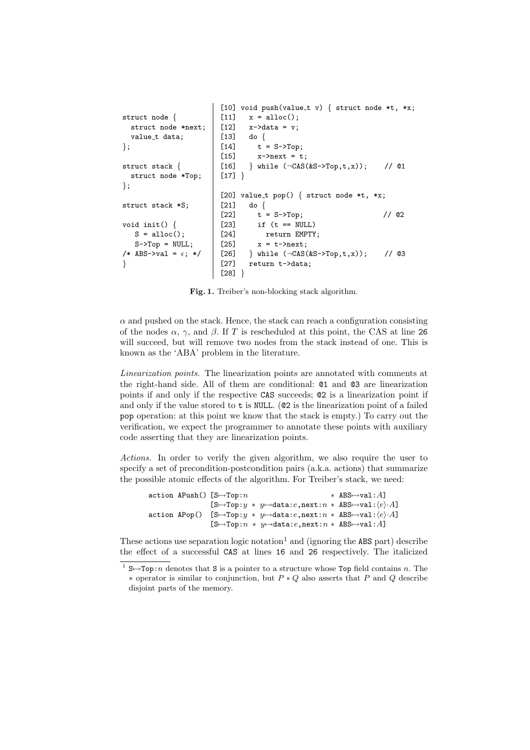```
struct node {
  struct node *next;
  value_t data;
};
struct stack {
  struct node *Top;
};
struct stack *S;
void init() {
   S = \text{alloc}():
   S->Top = NULL;/* ABS->val = \epsilon; */
}
                            [10] void push(value_t v) { struct node *t, *x;<br>[11] x = \text{alloc}():
                                     x = \text{alloc}();
                            [12] x->data = v;
                            [13] do {<br>[14] t
                                       t = S->Top;[15] x->next = t;
                            [16] } while (\neg CAS( & S \rightarrow Top, t, x)); // 01
                            [17] }
                            [20] value_t pop() { struct node *t, *x;<br>[21] do {
                            [21] do {<br>[22] t
                                      t = S - \text{Top}; // 02
                            [23] if (t == NULL)[24] return EMPTY:
                            [25] x = t->next;
                            [26] } while (\neg CAS(\&S\rightarrow Top, t, x)); // @3<br>[27] return t->data:
                                     return t->data;
                            [28] }
```
Fig. 1. Treiber's non-blocking stack algorithm.

 $\alpha$  and pushed on the stack. Hence, the stack can reach a configuration consisting of the nodes  $\alpha$ ,  $\gamma$ , and  $\beta$ . If T is rescheduled at this point, the CAS at line 26 will succeed, but will remove two nodes from the stack instead of one. This is known as the 'ABA' problem in the literature.

*Linearization points.* The linearization points are annotated with comments at the right-hand side. All of them are conditional: @1 and @3 are linearization points if and only if the respective CAS succeeds; @2 is a linearization point if and only if the value stored to t is NULL. (@2 is the linearization point of a failed pop operation: at this point we know that the stack is empty.) To carry out the verification, we expect the programmer to annotate these points with auxiliary code asserting that they are linearization points.

*Actions.* In order to verify the given algorithm, we also require the user to specify a set of precondition-postcondition pairs (a.k.a. actions) that summarize the possible atomic effects of the algorithm. For Treiber's stack, we need:

```
action APush() [S \mapsto Top:n \longrightarrow ABS \mapsto val:A][S \mapsto Top: y * y \mapsto data: e, next: n * ABS \mapsto val: \langle e \rangle \cdot A]action APop() [S \mapsto Top: y * y \mapsto data: e, next: n * ABS \mapsto val: \langle e \rangle \cdot A][S \mapsto Top:n * y \mapsto data: e, next:n * ABS \mapsto val:A]
```
These actions use separation logic notation<sup>1</sup> and (ignoring the ABS part) describe the effect of a successful CAS at lines 16 and 26 respectively. The italicized

 $S \rightarrow Top: n$  denotes that S is a pointer to a structure whose Top field contains n. The ∗ operator is similar to conjunction, but P ∗ Q also asserts that P and Q describe disjoint parts of the memory.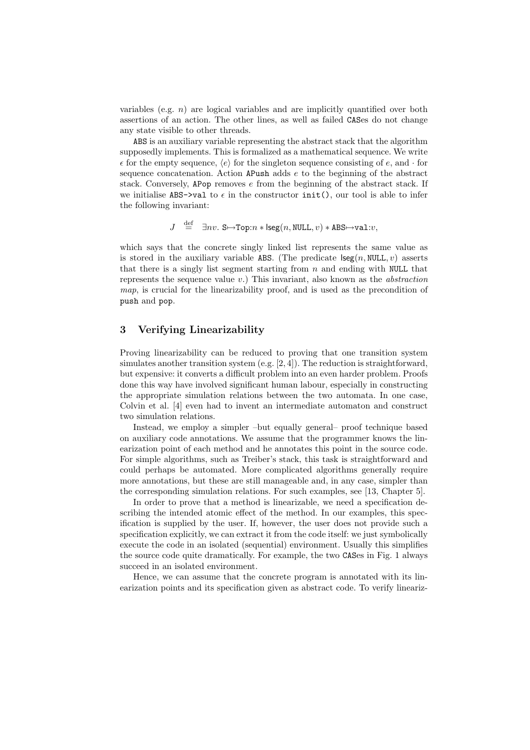variables (e.g.  $n$ ) are logical variables and are implicitly quantified over both assertions of an action. The other lines, as well as failed CASes do not change any state visible to other threads.

ABS is an auxiliary variable representing the abstract stack that the algorithm supposedly implements. This is formalized as a mathematical sequence. We write  $\epsilon$  for the empty sequence,  $\langle e \rangle$  for the singleton sequence consisting of e, and  $\cdot$  for sequence concatenation. Action  $APush$  adds  $e$  to the beginning of the abstract stack. Conversely, APop removes  $e$  from the beginning of the abstract stack. If we initialise ABS- $>$ val to  $\epsilon$  in the constructor init(), our tool is able to infer the following invariant:

$$
J \stackrel{\text{def}}{=} \exists nv. \ \mathsf{S} \mapsto \mathsf{Top} : n * \mathsf{lseg}(n, \mathsf{NULL}, v) * \mathsf{ABS} \mapsto \mathsf{val} : v,
$$

which says that the concrete singly linked list represents the same value as is stored in the auxiliary variable ABS. (The predicate  $\deg(n, NULL, v)$  asserts that there is a singly list segment starting from  $n$  and ending with NULL that represents the sequence value v.) This invariant, also known as the *abstraction map*, is crucial for the linearizability proof, and is used as the precondition of push and pop.

### 3 Verifying Linearizability

Proving linearizability can be reduced to proving that one transition system simulates another transition system (e.g. [2, 4]). The reduction is straightforward, but expensive: it converts a difficult problem into an even harder problem. Proofs done this way have involved significant human labour, especially in constructing the appropriate simulation relations between the two automata. In one case, Colvin et al. [4] even had to invent an intermediate automaton and construct two simulation relations.

Instead, we employ a simpler –but equally general– proof technique based on auxiliary code annotations. We assume that the programmer knows the linearization point of each method and he annotates this point in the source code. For simple algorithms, such as Treiber's stack, this task is straightforward and could perhaps be automated. More complicated algorithms generally require more annotations, but these are still manageable and, in any case, simpler than the corresponding simulation relations. For such examples, see [13, Chapter 5].

In order to prove that a method is linearizable, we need a specification describing the intended atomic effect of the method. In our examples, this specification is supplied by the user. If, however, the user does not provide such a specification explicitly, we can extract it from the code itself: we just symbolically execute the code in an isolated (sequential) environment. Usually this simplifies the source code quite dramatically. For example, the two CASes in Fig. 1 always succeed in an isolated environment.

Hence, we can assume that the concrete program is annotated with its linearization points and its specification given as abstract code. To verify lineariz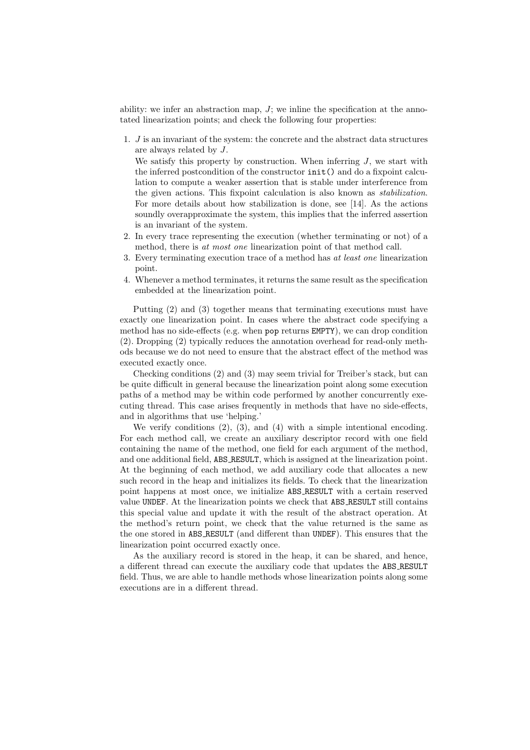ability: we infer an abstraction map,  $J$ ; we inline the specification at the annotated linearization points; and check the following four properties:

1.  $J$  is an invariant of the system: the concrete and the abstract data structures are always related by J.

We satisfy this property by construction. When inferring  $J$ , we start with the inferred postcondition of the constructor init() and do a fixpoint calculation to compute a weaker assertion that is stable under interference from the given actions. This fixpoint calculation is also known as *stabilization*. For more details about how stabilization is done, see [14]. As the actions soundly overapproximate the system, this implies that the inferred assertion is an invariant of the system.

- 2. In every trace representing the execution (whether terminating or not) of a method, there is *at most one* linearization point of that method call.
- 3. Every terminating execution trace of a method has *at least one* linearization point.
- 4. Whenever a method terminates, it returns the same result as the specification embedded at the linearization point.

Putting (2) and (3) together means that terminating executions must have exactly one linearization point. In cases where the abstract code specifying a method has no side-effects (e.g. when pop returns EMPTY), we can drop condition (2). Dropping (2) typically reduces the annotation overhead for read-only methods because we do not need to ensure that the abstract effect of the method was executed exactly once.

Checking conditions (2) and (3) may seem trivial for Treiber's stack, but can be quite difficult in general because the linearization point along some execution paths of a method may be within code performed by another concurrently executing thread. This case arises frequently in methods that have no side-effects, and in algorithms that use 'helping.'

We verify conditions  $(2)$ ,  $(3)$ , and  $(4)$  with a simple intentional encoding. For each method call, we create an auxiliary descriptor record with one field containing the name of the method, one field for each argument of the method, and one additional field, ABS RESULT, which is assigned at the linearization point. At the beginning of each method, we add auxiliary code that allocates a new such record in the heap and initializes its fields. To check that the linearization point happens at most once, we initialize ABS RESULT with a certain reserved value UNDEF. At the linearization points we check that ABS RESULT still contains this special value and update it with the result of the abstract operation. At the method's return point, we check that the value returned is the same as the one stored in ABS RESULT (and different than UNDEF). This ensures that the linearization point occurred exactly once.

As the auxiliary record is stored in the heap, it can be shared, and hence, a different thread can execute the auxiliary code that updates the ABS RESULT field. Thus, we are able to handle methods whose linearization points along some executions are in a different thread.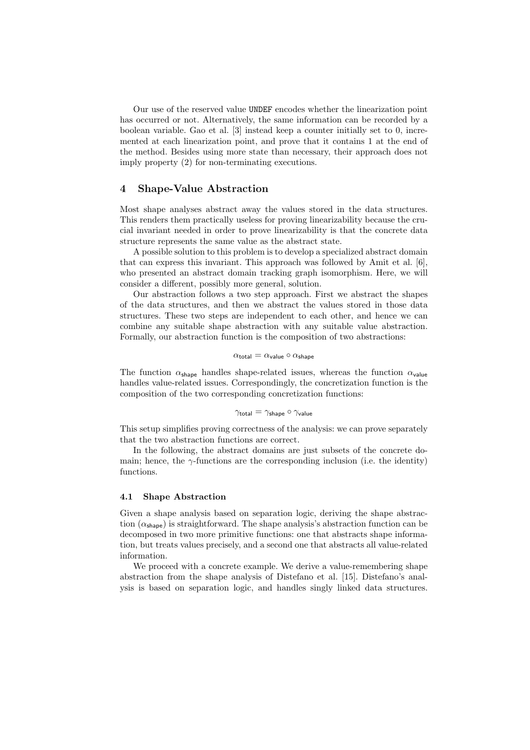Our use of the reserved value UNDEF encodes whether the linearization point has occurred or not. Alternatively, the same information can be recorded by a boolean variable. Gao et al. [3] instead keep a counter initially set to 0, incremented at each linearization point, and prove that it contains 1 at the end of the method. Besides using more state than necessary, their approach does not imply property (2) for non-terminating executions.

### 4 Shape-Value Abstraction

Most shape analyses abstract away the values stored in the data structures. This renders them practically useless for proving linearizability because the crucial invariant needed in order to prove linearizability is that the concrete data structure represents the same value as the abstract state.

A possible solution to this problem is to develop a specialized abstract domain that can express this invariant. This approach was followed by Amit et al. [6], who presented an abstract domain tracking graph isomorphism. Here, we will consider a different, possibly more general, solution.

Our abstraction follows a two step approach. First we abstract the shapes of the data structures, and then we abstract the values stored in those data structures. These two steps are independent to each other, and hence we can combine any suitable shape abstraction with any suitable value abstraction. Formally, our abstraction function is the composition of two abstractions:

$$
\alpha_{\text{total}} = \alpha_{\text{value}} \circ \alpha_{\text{shape}}
$$

The function  $\alpha_{\text{shape}}$  handles shape-related issues, whereas the function  $\alpha_{\text{value}}$ handles value-related issues. Correspondingly, the concretization function is the composition of the two corresponding concretization functions:

$$
\gamma_{\rm total} = \gamma_{\rm shape} \circ \gamma_{\rm value}
$$

This setup simplifies proving correctness of the analysis: we can prove separately that the two abstraction functions are correct.

In the following, the abstract domains are just subsets of the concrete domain; hence, the  $\gamma$ -functions are the corresponding inclusion (i.e. the identity) functions.

### 4.1 Shape Abstraction

Given a shape analysis based on separation logic, deriving the shape abstraction  $(\alpha_{\text{shape}})$  is straightforward. The shape analysis's abstraction function can be decomposed in two more primitive functions: one that abstracts shape information, but treats values precisely, and a second one that abstracts all value-related information.

We proceed with a concrete example. We derive a value-remembering shape abstraction from the shape analysis of Distefano et al. [15]. Distefano's analysis is based on separation logic, and handles singly linked data structures.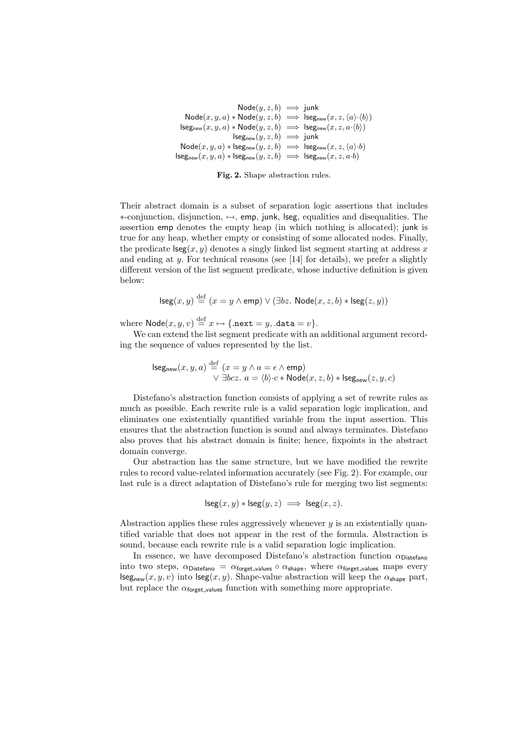Node $(y, z, b) \implies$  junk  $Node(x, y, a) * Node(y, z, b) \implies \text{lseg}_{new}(x, z, \langle a \rangle \cdot \langle b \rangle)$  $\mathsf{lseg}_{\mathsf{new}}(x, y, a) * \mathsf{Node}(y, z, b) \implies \mathsf{lseg}_{\mathsf{new}}(x, z, a \cdot \langle b \rangle)$  $\mathsf{lseg}_{\mathsf{new}}(y, z, b) \implies \mathsf{junk}$  $Node(x, y, a) * lseg<sub>new</sub>(y, z, b) \implies lseg<sub>new</sub>(x, z, \langle a \rangle \cdot b)$  $\mathsf{lseg}_{\mathsf{new}}(x, y, a) * \mathsf{lseg}_{\mathsf{new}}(y, z, b) \implies \mathsf{lseg}_{\mathsf{new}}(x, z, a \cdot b)$ 

Fig. 2. Shape abstraction rules.

Their abstract domain is a subset of separation logic assertions that includes ∗-conjunction, disjunction, \$→, emp, junk, lseg, equalities and disequalities. The assertion emp denotes the empty heap (in which nothing is allocated); junk is true for any heap, whether empty or consisting of some allocated nodes. Finally, the predicate  $\deg(x, y)$  denotes a singly linked list segment starting at address x and ending at  $y$ . For technical reasons (see [14] for details), we prefer a slightly different version of the list segment predicate, whose inductive definition is given below:

$$
\mathsf{lseg}(x, y) \stackrel{\text{def}}{=} (x = y \land \mathsf{emp}) \lor (\exists bz. \; \mathsf{Node}(x, z, b) * \mathsf{lse}(z, y))
$$

where  $\textsf{Node}(x, y, v) \stackrel{\text{def}}{=} x \mapsto \{\texttt{.next} = y, \texttt{.data} = v\}.$ 

We can extend the list segment predicate with an additional argument recording the sequence of values represented by the list.

$$
\mathsf{Iseg}_{\mathsf{new}}(x, y, a) \stackrel{\text{def}}{=} (x = y \land a = \epsilon \land \mathsf{emp})
$$
  
 
$$
\lor \exists bcz. \ a = \langle b \rangle \cdot c * \mathsf{Node}(x, z, b) * \mathsf{Iseg}_{\mathsf{new}}(z, y, c)
$$

Distefano's abstraction function consists of applying a set of rewrite rules as much as possible. Each rewrite rule is a valid separation logic implication, and eliminates one existentially quantified variable from the input assertion. This ensures that the abstraction function is sound and always terminates. Distefano also proves that his abstract domain is finite; hence, fixpoints in the abstract domain converge.

Our abstraction has the same structure, but we have modified the rewrite rules to record value-related information accurately (see Fig. 2). For example, our last rule is a direct adaptation of Distefano's rule for merging two list segments:

$$
\mathsf{lseg}(x,y) * \mathsf{lseg}(y,z) \implies \mathsf{lseg}(x,z).
$$

Abstraction applies these rules aggressively whenever  $y$  is an existentially quantified variable that does not appear in the rest of the formula. Abstraction is sound, because each rewrite rule is a valid separation logic implication.

In essence, we have decomposed Distefano's abstraction function  $\alpha_{\text{Distance}}$ into two steps,  $\alpha_{\text{Distance}} = \alpha_{\text{forget\_values}} \circ \alpha_{\text{shape}}$ , where  $\alpha_{\text{forget\_values}}$  maps every  $\mathsf{lseg}_{\mathsf{new}}(x, y, v)$  into  $\mathsf{lseg}(x, y)$ . Shape-value abstraction will keep the  $\alpha_{\mathsf{shape}}$  part, but replace the  $\alpha_{\text{forget\_values}}$  function with something more appropriate.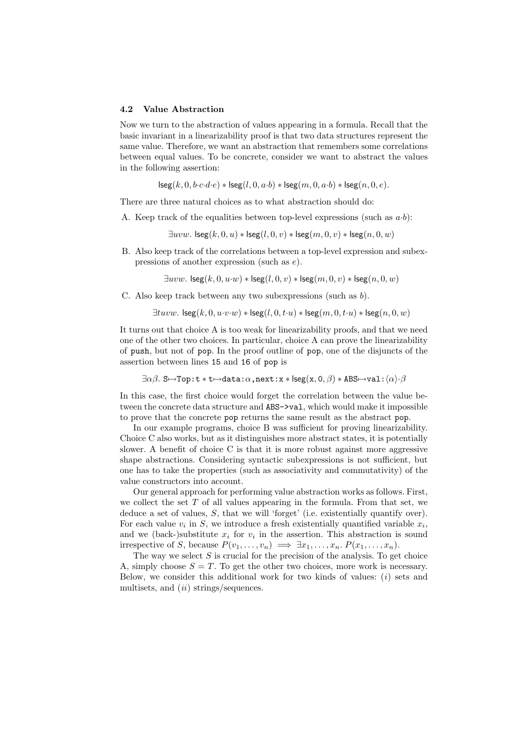#### 4.2 Value Abstraction

Now we turn to the abstraction of values appearing in a formula. Recall that the basic invariant in a linearizability proof is that two data structures represent the same value. Therefore, we want an abstraction that remembers some correlations between equal values. To be concrete, consider we want to abstract the values in the following assertion:

$$
\mathsf{lseg}(k,0,b\cdot c\cdot d\cdot e)*\mathsf{lseg}(l,0,a\cdot b)*\mathsf{lseg}(m,0,a\cdot b)*\mathsf{lseg}(n,0,e).
$$

There are three natural choices as to what abstraction should do:

A. Keep track of the equalities between top-level expressions (such as  $a \cdot b$ ):

 $\exists uvw. \, \text{lseg}(k, 0, u) * \text{lseg}(l, 0, v) * \text{lseg}(m, 0, v) * \text{lseg}(n, 0, w)$ 

B. Also keep track of the correlations between a top-level expression and subexpressions of another expression (such as e).

$$
\exists uvw.\ \mathsf{Iseg}(k,0,u\cdot w) * \mathsf{Iseg}(l,0,v) * \mathsf{Iseg}(m,0,v) * \mathsf{Iseg}(n,0,w)
$$

C. Also keep track between any two subexpressions (such as b).

$$
\exists tuvw.~\mathsf{lseg}(k,0,u\cdot v\cdot w)*\mathsf{lseg}(l,0,t\cdot u)*\mathsf{lseg}(m,0,t\cdot u)*\mathsf{lseg}(n,0,w)
$$

It turns out that choice A is too weak for linearizability proofs, and that we need one of the other two choices. In particular, choice A can prove the linearizability of push, but not of pop. In the proof outline of pop, one of the disjuncts of the assertion between lines 15 and 16 of pop is

$$
\exists \alpha \beta.\ \mathrm{S} \!\!\mapsto \!\! \mathrm{Top}\!:\! t* t \!\!\mapsto \!\! \mathtt{data}\!:\! \alpha\!, \mathtt{next}\!:\! x* \mathsf{lseg}(x,0,\beta)* \mathtt{ABS} \!\!\mapsto \!\!\mathrm{val}\!:\!\langle \alpha \rangle \!\!\cdot \!\beta
$$

In this case, the first choice would forget the correlation between the value between the concrete data structure and ABS->val, which would make it impossible to prove that the concrete pop returns the same result as the abstract pop.

In our example programs, choice B was sufficient for proving linearizability. Choice C also works, but as it distinguishes more abstract states, it is potentially slower. A benefit of choice C is that it is more robust against more aggressive shape abstractions. Considering syntactic subexpressions is not sufficient, but one has to take the properties (such as associativity and commutativity) of the value constructors into account.

Our general approach for performing value abstraction works as follows. First, we collect the set  $T$  of all values appearing in the formula. From that set, we deduce a set of values, S, that we will 'forget' (i.e. existentially quantify over). For each value  $v_i$  in S, we introduce a fresh existentially quantified variable  $x_i$ , and we (back-)substitute  $x_i$  for  $v_i$  in the assertion. This abstraction is sound irrespective of S, because  $P(v_1,...,v_n) \implies \exists x_1,...,x_n$ .  $P(x_1,...,x_n)$ .

The way we select  $S$  is crucial for the precision of the analysis. To get choice A, simply choose  $S = T$ . To get the other two choices, more work is necessary. Below, we consider this additional work for two kinds of values: (*i*) sets and multisets, and (*ii*) strings/sequences.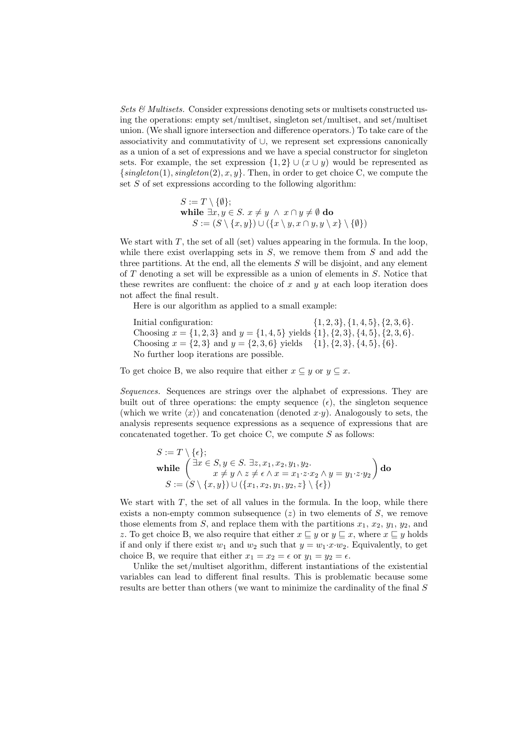*Sets & Multisets.* Consider expressions denoting sets or multisets constructed using the operations: empty set/multiset, singleton set/multiset, and set/multiset union. (We shall ignore intersection and difference operators.) To take care of the associativity and commutativity of ∪, we represent set expressions canonically as a union of a set of expressions and we have a special constructor for singleton sets. For example, the set expression  $\{1,2\} \cup (x \cup y)$  would be represented as  ${singleton(1), singleton(2), x, y}.$  Then, in order to get choice C, we compute the set  $S$  of set expressions according to the following algorithm:

$$
S := T \setminus \{\emptyset\};
$$
  
while  $\exists x, y \in S$ .  $x \neq y \land x \cap y \neq \emptyset$  do  

$$
S := (S \setminus \{x, y\}) \cup (\{x \setminus y, x \cap y, y \setminus x\} \setminus \{\emptyset\})
$$

We start with  $T$ , the set of all (set) values appearing in the formula. In the loop, while there exist overlapping sets in  $S$ , we remove them from  $S$  and add the three partitions. At the end, all the elements  $S$  will be disjoint, and any element of T denoting a set will be expressible as a union of elements in S. Notice that these rewrites are confluent: the choice of x and  $y$  at each loop iteration does not affect the final result.

Here is our algorithm as applied to a small example:

Initial configuration:  $\{1, 2, 3\}, \{1, 4, 5\}, \{2, 3, 6\}.$ Choosing  $x = \{1, 2, 3\}$  and  $y = \{1, 4, 5\}$  yields  $\{1\}, \{2, 3\}, \{4, 5\}, \{2, 3, 6\}.$ Choosing  $x = \{2, 3\}$  and  $y = \{2, 3, 6\}$  yields  $\{1\}, \{2, 3\}, \{4, 5\}, \{6\}.$ No further loop iterations are possible.

To get choice B, we also require that either  $x \subseteq y$  or  $y \subseteq x$ .

*Sequences.* Sequences are strings over the alphabet of expressions. They are built out of three operations: the empty sequence  $(\epsilon)$ , the singleton sequence (which we write  $\langle x \rangle$ ) and concatenation (denoted  $x \cdot y$ ). Analogously to sets, the analysis represents sequence expressions as a sequence of expressions that are concatenated together. To get choice C, we compute  $S$  as follows:

$$
S := T \setminus \{\epsilon\};
$$
  
while 
$$
\begin{pmatrix} \exists x \in S, y \in S. \ \exists z, x_1, x_2, y_1, y_2. \\ x \neq y \land z \neq \epsilon \land x = x_1 \cdot z \cdot x_2 \land y = y_1 \cdot z \cdot y_2 \end{pmatrix} do
$$
  

$$
S := (S \setminus \{x, y\}) \cup (\{x_1, x_2, y_1, y_2, z\} \setminus \{\epsilon\})
$$

We start with  $T$ , the set of all values in the formula. In the loop, while there exists a non-empty common subsequence  $(z)$  in two elements of S, we remove those elements from S, and replace them with the partitions  $x_1, x_2, y_1, y_2$ , and z. To get choice B, we also require that either  $x \nightharpoonup y$  or  $y \nightharpoonup x$ , where  $x \nightharpoonup y$  holds if and only if there exist  $w_1$  and  $w_2$  such that  $y = w_1 \cdot x \cdot w_2$ . Equivalently, to get choice B, we require that either  $x_1 = x_2 = \epsilon$  or  $y_1 = y_2 = \epsilon$ .

Unlike the set/multiset algorithm, different instantiations of the existential variables can lead to different final results. This is problematic because some results are better than others (we want to minimize the cardinality of the final S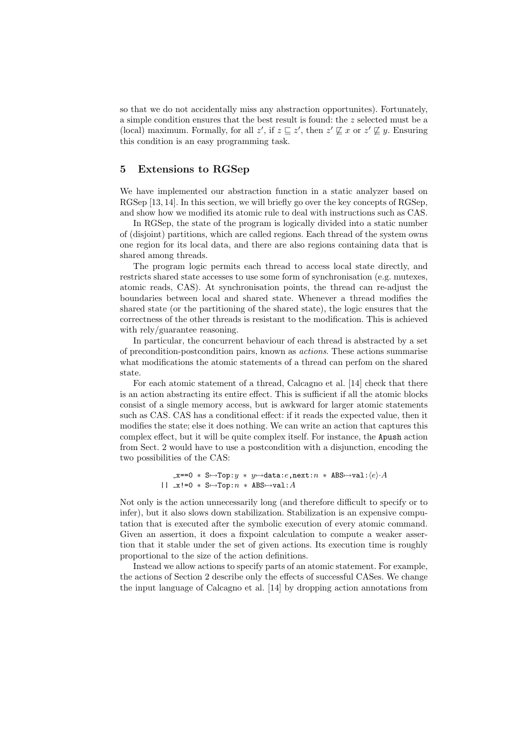so that we do not accidentally miss any abstraction opportunites). Fortunately, a simple condition ensures that the best result is found: the  $z$  selected must be a (local) maximum. Formally, for all  $z'$ , if  $z \subseteq z'$ , then  $z' \not\sqsubseteq x$  or  $z' \not\sqsubseteq y$ . Ensuring this condition is an easy programming task.

### 5 Extensions to RGSep

We have implemented our abstraction function in a static analyzer based on RGSep [13, 14]. In this section, we will briefly go over the key concepts of RGSep, and show how we modified its atomic rule to deal with instructions such as CAS.

In RGSep, the state of the program is logically divided into a static number of (disjoint) partitions, which are called regions. Each thread of the system owns one region for its local data, and there are also regions containing data that is shared among threads.

The program logic permits each thread to access local state directly, and restricts shared state accesses to use some form of synchronisation (e.g. mutexes, atomic reads, CAS). At synchronisation points, the thread can re-adjust the boundaries between local and shared state. Whenever a thread modifies the shared state (or the partitioning of the shared state), the logic ensures that the correctness of the other threads is resistant to the modification. This is achieved with rely/guarantee reasoning.

In particular, the concurrent behaviour of each thread is abstracted by a set of precondition-postcondition pairs, known as *actions*. These actions summarise what modifications the atomic statements of a thread can perfom on the shared state.

For each atomic statement of a thread, Calcagno et al. [14] check that there is an action abstracting its entire effect. This is sufficient if all the atomic blocks consist of a single memory access, but is awkward for larger atomic statements such as CAS. CAS has a conditional effect: if it reads the expected value, then it modifies the state; else it does nothing. We can write an action that captures this complex effect, but it will be quite complex itself. For instance, the Apush action from Sect. 2 would have to use a postcondition with a disjunction, encoding the two possibilities of the CAS:

$$
x == 0 * S \rightarrow Top: y * y \rightarrow data: e, next: n * ABS \rightarrow val: \langle e \rangle \cdot A
$$
  
|| x!=0 \* S \rightarrow Top: n \* ABS \rightarrow val: A

Not only is the action unnecessarily long (and therefore difficult to specify or to infer), but it also slows down stabilization. Stabilization is an expensive computation that is executed after the symbolic execution of every atomic command. Given an assertion, it does a fixpoint calculation to compute a weaker assertion that it stable under the set of given actions. Its execution time is roughly proportional to the size of the action definitions.

Instead we allow actions to specify parts of an atomic statement. For example, the actions of Section 2 describe only the effects of successful CASes. We change the input language of Calcagno et al. [14] by dropping action annotations from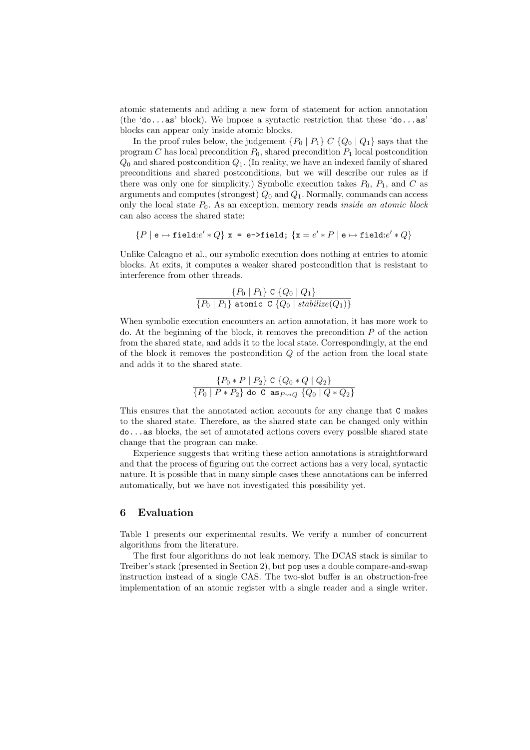atomic statements and adding a new form of statement for action annotation (the 'do...as' block). We impose a syntactic restriction that these 'do...as' blocks can appear only inside atomic blocks.

In the proof rules below, the judgement  ${P_0 | P_1} C {Q_0 | Q_1}$  says that the program C has local precondition  $P_0$ , shared precondition  $P_1$  local postcondition  $Q_0$  and shared postcondition  $Q_1$ . (In reality, we have an indexed family of shared preconditions and shared postconditions, but we will describe our rules as if there was only one for simplicity.) Symbolic execution takes  $P_0$ ,  $P_1$ , and C as arguments and computes (strongest)  $Q_0$  and  $Q_1$ . Normally, commands can access only the local state  $P_0$ . As an exception, memory reads *inside an atomic block* can also access the shared state:

$$
\{P \mid e \mapsto \mathtt{field}: e' * Q\} \mathtt{x = e->field}; \ \{ \mathtt{x} = e' * P \mid e \mapsto \mathtt{field}: e' * Q\}
$$

Unlike Calcagno et al., our symbolic execution does nothing at entries to atomic blocks. At exits, it computes a weaker shared postcondition that is resistant to interference from other threads.

$$
\frac{\{P_0 \mid P_1\} \mathsf{C} \{Q_0 \mid Q_1\}}{\{P_0 \mid P_1\} \text{ atomic } \mathsf{C} \{Q_0 \mid \text{stabilize}(Q_1)\}}
$$

When symbolic execution encounters an action annotation, it has more work to do. At the beginning of the block, it removes the precondition  $P$  of the action from the shared state, and adds it to the local state. Correspondingly, at the end of the block it removes the postcondition  $Q$  of the action from the local state and adds it to the shared state.

$$
\frac{\{P_0 * P \mid P_2\} \ C \ \{Q_0 * Q \mid Q_2\}}{\{P_0 \mid P * P_2\} \ \text{do} \ C \ \ \text{as}_{P \leadsto Q} \ \{Q_0 \mid Q * Q_2\}}
$$

This ensures that the annotated action accounts for any change that C makes to the shared state. Therefore, as the shared state can be changed only within do...as blocks, the set of annotated actions covers every possible shared state change that the program can make.

Experience suggests that writing these action annotations is straightforward and that the process of figuring out the correct actions has a very local, syntactic nature. It is possible that in many simple cases these annotations can be inferred automatically, but we have not investigated this possibility yet.

### 6 Evaluation

Table 1 presents our experimental results. We verify a number of concurrent algorithms from the literature.

The first four algorithms do not leak memory. The DCAS stack is similar to Treiber's stack (presented in Section 2), but pop uses a double compare-and-swap instruction instead of a single CAS. The two-slot buffer is an obstruction-free implementation of an atomic register with a single reader and a single writer.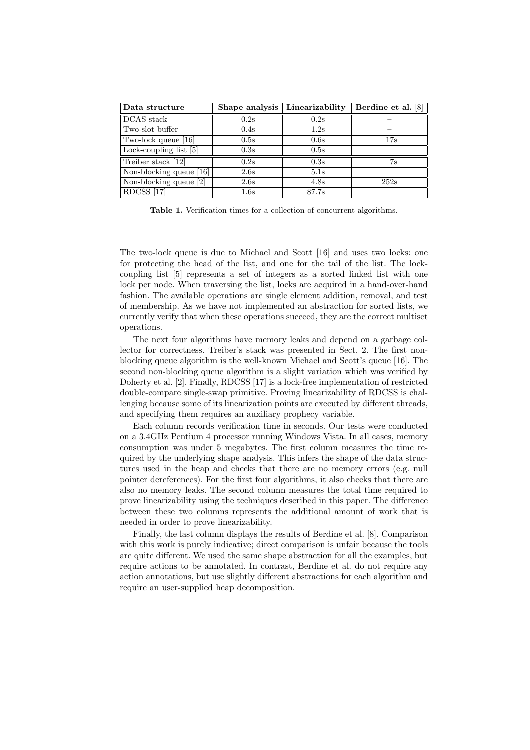| Data structure           | Shape analysis | Linearizability | Berdine et al. [8] |
|--------------------------|----------------|-----------------|--------------------|
| DCAS stack               | 0.2s           | 0.2s            |                    |
| Two-slot buffer          | 0.4s           | 1.2s            |                    |
| Two-lock queue [16]      | 0.5s           | 0.6s            | 17s                |
| Lock-coupling list $[5]$ | 0.3s           | 0.5s            |                    |
| Treiber stack [12]       | 0.2s           | 0.3s            | 7s                 |
| Non-blocking queue [16]  | 2.6s           | 5.1s            |                    |
| Non-blocking queue [2]   | 2.6s           | 4.8s            | 252s               |
| RDCSS <sup>[17]</sup>    | 1.6s           | 87.7s           |                    |

Table 1. Verification times for a collection of concurrent algorithms.

The two-lock queue is due to Michael and Scott [16] and uses two locks: one for protecting the head of the list, and one for the tail of the list. The lockcoupling list [5] represents a set of integers as a sorted linked list with one lock per node. When traversing the list, locks are acquired in a hand-over-hand fashion. The available operations are single element addition, removal, and test of membership. As we have not implemented an abstraction for sorted lists, we currently verify that when these operations succeed, they are the correct multiset operations.

The next four algorithms have memory leaks and depend on a garbage collector for correctness. Treiber's stack was presented in Sect. 2. The first nonblocking queue algorithm is the well-known Michael and Scott's queue [16]. The second non-blocking queue algorithm is a slight variation which was verified by Doherty et al. [2]. Finally, RDCSS [17] is a lock-free implementation of restricted double-compare single-swap primitive. Proving linearizability of RDCSS is challenging because some of its linearization points are executed by different threads, and specifying them requires an auxiliary prophecy variable.

Each column records verification time in seconds. Our tests were conducted on a 3.4GHz Pentium 4 processor running Windows Vista. In all cases, memory consumption was under 5 megabytes. The first column measures the time required by the underlying shape analysis. This infers the shape of the data structures used in the heap and checks that there are no memory errors (e.g. null pointer dereferences). For the first four algorithms, it also checks that there are also no memory leaks. The second column measures the total time required to prove linearizability using the techniques described in this paper. The difference between these two columns represents the additional amount of work that is needed in order to prove linearizability.

Finally, the last column displays the results of Berdine et al. [8]. Comparison with this work is purely indicative; direct comparison is unfair because the tools are quite different. We used the same shape abstraction for all the examples, but require actions to be annotated. In contrast, Berdine et al. do not require any action annotations, but use slightly different abstractions for each algorithm and require an user-supplied heap decomposition.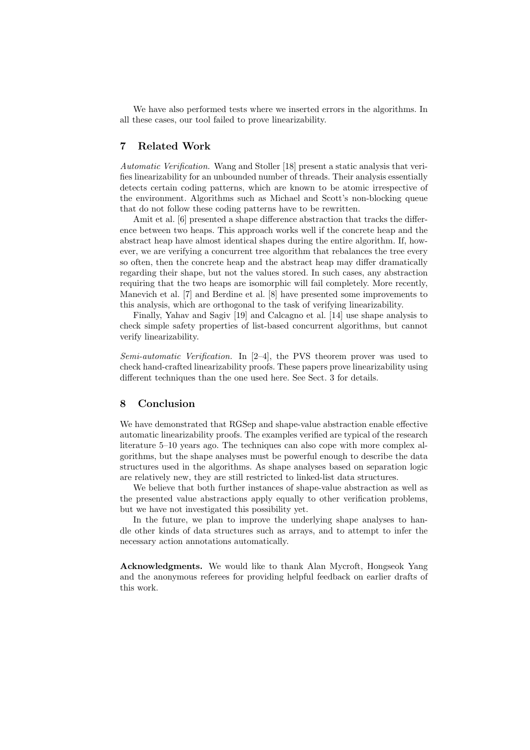We have also performed tests where we inserted errors in the algorithms. In all these cases, our tool failed to prove linearizability.

### 7 Related Work

*Automatic Verification.* Wang and Stoller [18] present a static analysis that verifies linearizability for an unbounded number of threads. Their analysis essentially detects certain coding patterns, which are known to be atomic irrespective of the environment. Algorithms such as Michael and Scott's non-blocking queue that do not follow these coding patterns have to be rewritten.

Amit et al. [6] presented a shape difference abstraction that tracks the difference between two heaps. This approach works well if the concrete heap and the abstract heap have almost identical shapes during the entire algorithm. If, however, we are verifying a concurrent tree algorithm that rebalances the tree every so often, then the concrete heap and the abstract heap may differ dramatically regarding their shape, but not the values stored. In such cases, any abstraction requiring that the two heaps are isomorphic will fail completely. More recently, Manevich et al. [7] and Berdine et al. [8] have presented some improvements to this analysis, which are orthogonal to the task of verifying linearizability.

Finally, Yahav and Sagiv [19] and Calcagno et al. [14] use shape analysis to check simple safety properties of list-based concurrent algorithms, but cannot verify linearizability.

*Semi-automatic Verification.* In [2–4], the PVS theorem prover was used to check hand-crafted linearizability proofs. These papers prove linearizability using different techniques than the one used here. See Sect. 3 for details.

## 8 Conclusion

We have demonstrated that RGSep and shape-value abstraction enable effective automatic linearizability proofs. The examples verified are typical of the research literature 5–10 years ago. The techniques can also cope with more complex algorithms, but the shape analyses must be powerful enough to describe the data structures used in the algorithms. As shape analyses based on separation logic are relatively new, they are still restricted to linked-list data structures.

We believe that both further instances of shape-value abstraction as well as the presented value abstractions apply equally to other verification problems, but we have not investigated this possibility yet.

In the future, we plan to improve the underlying shape analyses to handle other kinds of data structures such as arrays, and to attempt to infer the necessary action annotations automatically.

Acknowledgments. We would like to thank Alan Mycroft, Hongseok Yang and the anonymous referees for providing helpful feedback on earlier drafts of this work.